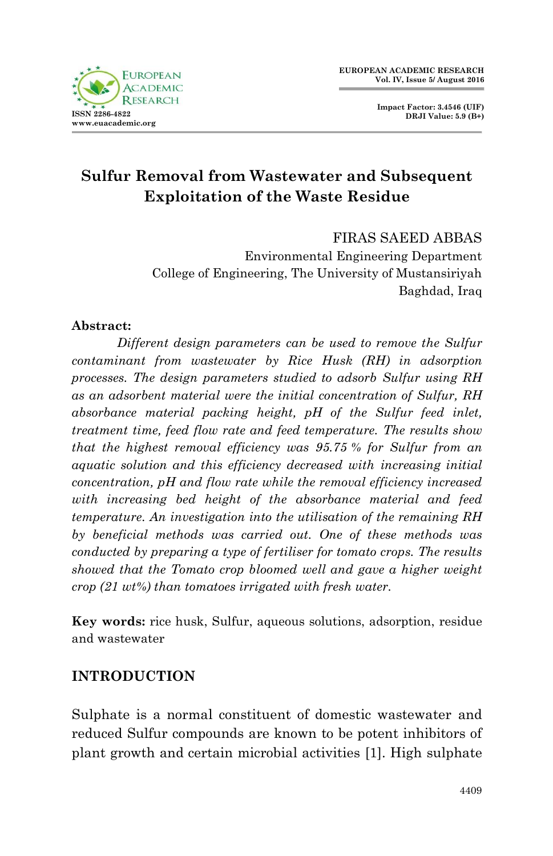

**Impact Factor: 3.4546 (UIF) DRJI Value: 5.9 (B+)**

# **Sulfur Removal from Wastewater and Subsequent Exploitation of the Waste Residue**

FIRAS SAEED ABBAS

Environmental Engineering Department College of Engineering, The University of Mustansiriyah Baghdad, Iraq

#### **Abstract:**

*Different design parameters can be used to remove the Sulfur contaminant from wastewater by Rice Husk (RH) in adsorption processes. The design parameters studied to adsorb Sulfur using RH as an adsorbent material were the initial concentration of Sulfur, RH absorbance material packing height, pH of the Sulfur feed inlet, treatment time, feed flow rate and feed temperature. The results show that the highest removal efficiency was 95.75 % for Sulfur from an aquatic solution and this efficiency decreased with increasing initial concentration, pH and flow rate while the removal efficiency increased with increasing bed height of the absorbance material and feed temperature. An investigation into the utilisation of the remaining RH by beneficial methods was carried out. One of these methods was conducted by preparing a type of fertiliser for tomato crops. The results showed that the Tomato crop bloomed well and gave a higher weight crop (21 wt%) than tomatoes irrigated with fresh water.* 

**Key words:** rice husk, Sulfur, aqueous solutions, adsorption, residue and wastewater

## **INTRODUCTION**

Sulphate is a normal constituent of domestic wastewater and reduced Sulfur compounds are known to be potent inhibitors of plant growth and certain microbial activities [1]. High sulphate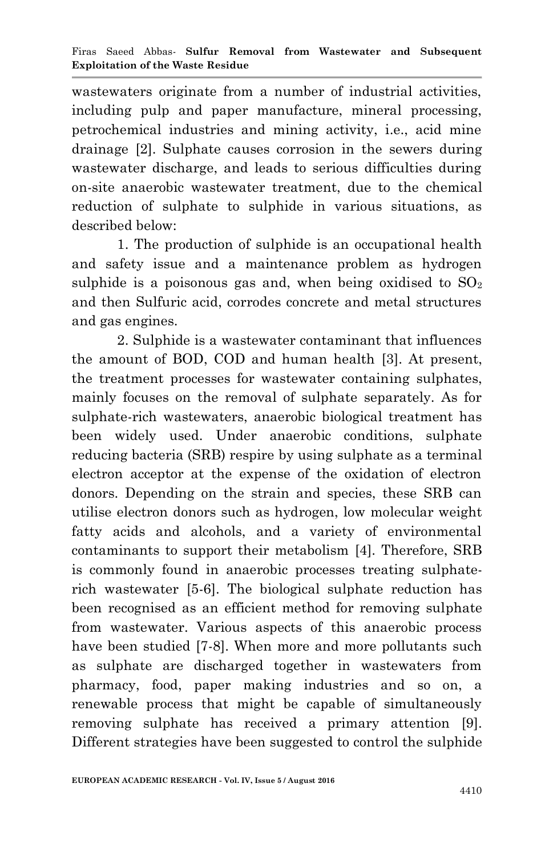wastewaters originate from a number of industrial activities, including pulp and paper manufacture, mineral processing, petrochemical industries and mining activity, i.e., acid mine drainage [2]. Sulphate causes corrosion in the sewers during wastewater discharge, and leads to serious difficulties during on-site anaerobic wastewater treatment, due to the chemical reduction of sulphate to sulphide in various situations, as described below:

1. The production of sulphide is an occupational health and safety issue and a maintenance problem as hydrogen sulphide is a poisonous gas and, when being oxidised to  $SO<sub>2</sub>$ and then Sulfuric acid, corrodes concrete and metal structures and gas engines.

2. Sulphide is a wastewater contaminant that influences the amount of BOD, COD and human health [3]. At present, the treatment processes for wastewater containing sulphates, mainly focuses on the removal of sulphate separately. As for sulphate-rich wastewaters, anaerobic biological treatment has been widely used. Under anaerobic conditions, sulphate reducing bacteria (SRB) respire by using sulphate as a terminal electron acceptor at the expense of the oxidation of electron donors. Depending on the strain and species, these SRB can utilise electron donors such as hydrogen, low molecular weight fatty acids and alcohols, and a variety of environmental contaminants to support their metabolism [4]. Therefore, SRB is commonly found in anaerobic processes treating sulphaterich wastewater [5-6]. The biological sulphate reduction has been recognised as an efficient method for removing sulphate from wastewater. Various aspects of this anaerobic process have been studied [7-8]. When more and more pollutants such as sulphate are discharged together in wastewaters from pharmacy, food, paper making industries and so on, a renewable process that might be capable of simultaneously removing sulphate has received a primary attention [9]. Different strategies have been suggested to control the sulphide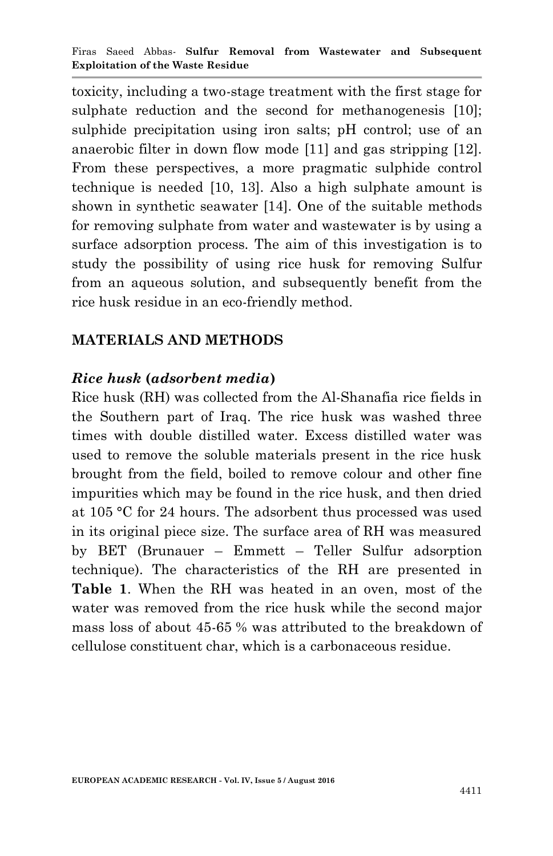toxicity, including a two-stage treatment with the first stage for sulphate reduction and the second for methanogenesis [10]; sulphide precipitation using iron salts; pH control; use of an anaerobic filter in down flow mode [11] and gas stripping [12]. From these perspectives, a more pragmatic sulphide control technique is needed [10, 13]. Also a high sulphate amount is shown in synthetic seawater [14]. One of the suitable methods for removing sulphate from water and wastewater is by using a surface adsorption process. The aim of this investigation is to study the possibility of using rice husk for removing Sulfur from an aqueous solution, and subsequently benefit from the rice husk residue in an eco-friendly method.

## **MATERIALS AND METHODS**

### *Rice husk* **(***adsorbent media***)**

Rice husk (RH) was collected from the Al-Shanafia rice fields in the Southern part of Iraq. The rice husk was washed three times with double distilled water. Excess distilled water was used to remove the soluble materials present in the rice husk brought from the field, boiled to remove colour and other fine impurities which may be found in the rice husk, and then dried at 105 °C for 24 hours. The adsorbent thus processed was used in its original piece size. The surface area of RH was measured by BET (Brunauer – Emmett – Teller Sulfur adsorption technique). The characteristics of the RH are presented in **Table 1**. When the RH was heated in an oven, most of the water was removed from the rice husk while the second major mass loss of about 45-65 % was attributed to the breakdown of cellulose constituent char, which is a carbonaceous residue.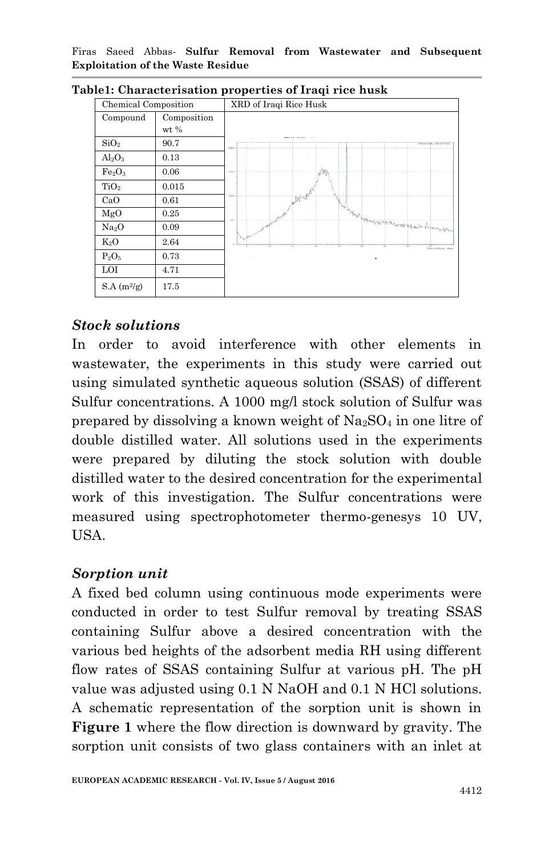Firas Saeed Abbas*-* **Sulfur Removal from Wastewater and Subsequent Exploitation of the Waste Residue**

| Chemical Composition           |                       | XRD of Iraqi Rice Husk                                                               |
|--------------------------------|-----------------------|--------------------------------------------------------------------------------------|
| Compound                       | Composition<br>$wt$ % |                                                                                      |
| SiO <sub>2</sub>               | 90.7                  | ------<br>Edward Lab, Seta (7319)<br>1000                                            |
| $Al_2O_3$                      | 0.13                  |                                                                                      |
| Fe <sub>2</sub> O <sub>3</sub> | 0.06                  | 1300                                                                                 |
| TiO <sub>2</sub>               | 0.015                 |                                                                                      |
| CaO                            | 0.61                  | $\mathbb{M}^{\mathbb{N} \times \mathbb{N}^{\mathbb{N} \times \mathbb{N}}}$<br>Look - |
| MgO                            | 0.25                  | <b>Side</b>                                                                          |
| Na <sub>2</sub> O              | 0.09                  | hypothesis of the month of the control                                               |
| $K_2O$                         | 2.64                  | 75<br>These-Finals can                                                               |
| $P_2O_5$                       | 0.73                  |                                                                                      |
| LOI                            | 4.71                  |                                                                                      |
| $S.A(m^2/g)$                   | 17.5                  |                                                                                      |

**Table1: Characterisation properties of Iraqi rice husk**

#### *Stock solutions*

In order to avoid interference with other elements in wastewater, the experiments in this study were carried out using simulated synthetic aqueous solution (SSAS) of different Sulfur concentrations. A 1000 mg/l stock solution of Sulfur was prepared by dissolving a known weight of  $Na<sub>2</sub>SO<sub>4</sub>$  in one litre of double distilled water. All solutions used in the experiments were prepared by diluting the stock solution with double distilled water to the desired concentration for the experimental work of this investigation. The Sulfur concentrations were measured using spectrophotometer thermo-genesys 10 UV, **USA** 

### *Sorption unit*

A fixed bed column using continuous mode experiments were conducted in order to test Sulfur removal by treating SSAS containing Sulfur above a desired concentration with the various bed heights of the adsorbent media RH using different flow rates of SSAS containing Sulfur at various pH. The pH value was adjusted using 0.1 N NaOH and 0.1 N HCl solutions. A schematic representation of the sorption unit is shown in **Figure 1** where the flow direction is downward by gravity. The sorption unit consists of two glass containers with an inlet at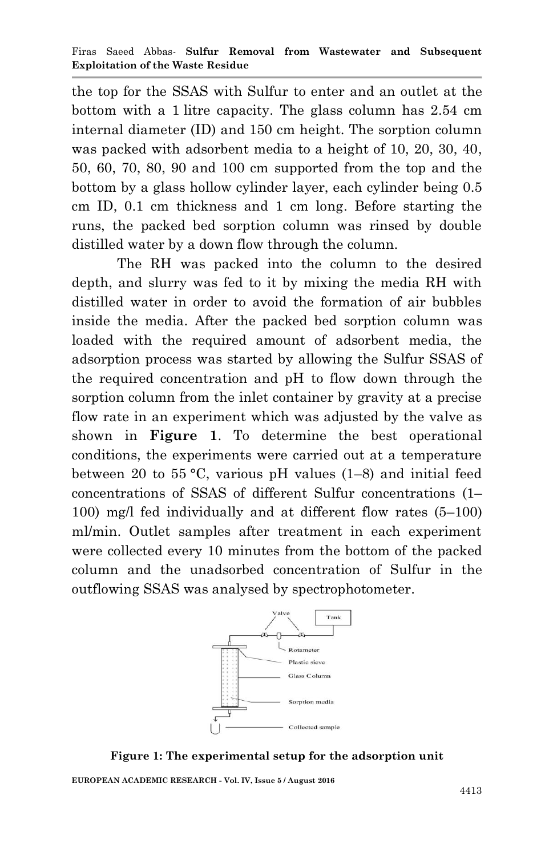the top for the SSAS with Sulfur to enter and an outlet at the bottom with a 1 litre capacity. The glass column has 2.54 cm internal diameter (ID) and 150 cm height. The sorption column was packed with adsorbent media to a height of 10, 20, 30, 40, 50, 60, 70, 80, 90 and 100 cm supported from the top and the bottom by a glass hollow cylinder layer, each cylinder being 0.5 cm ID, 0.1 cm thickness and 1 cm long. Before starting the runs, the packed bed sorption column was rinsed by double distilled water by a down flow through the column.

The RH was packed into the column to the desired depth, and slurry was fed to it by mixing the media RH with distilled water in order to avoid the formation of air bubbles inside the media. After the packed bed sorption column was loaded with the required amount of adsorbent media, the adsorption process was started by allowing the Sulfur SSAS of the required concentration and pH to flow down through the sorption column from the inlet container by gravity at a precise flow rate in an experiment which was adjusted by the valve as shown in **Figure 1**. To determine the best operational conditions, the experiments were carried out at a temperature between 20 to 55 °C, various pH values  $(1–8)$  and initial feed concentrations of SSAS of different Sulfur concentrations (1– 100) mg/l fed individually and at different flow rates (5–100) ml/min. Outlet samples after treatment in each experiment were collected every 10 minutes from the bottom of the packed column and the unadsorbed concentration of Sulfur in the outflowing SSAS was analysed by spectrophotometer.



**Figure 1: The experimental setup for the adsorption unit**

**EUROPEAN ACADEMIC RESEARCH - Vol. IV, Issue 5 / August 2016**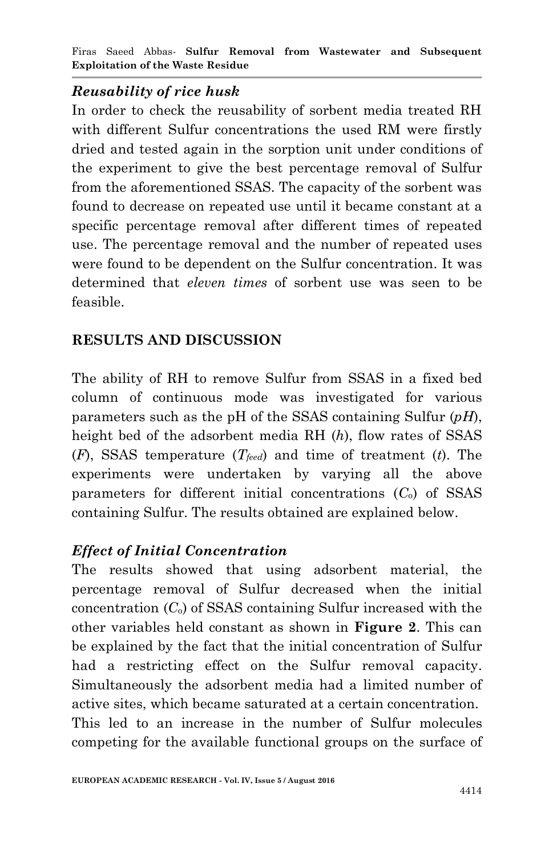Firas Saeed Abbas*-* **Sulfur Removal from Wastewater and Subsequent Exploitation of the Waste Residue**

### *Reusability of rice husk*

In order to check the reusability of sorbent media treated RH with different Sulfur concentrations the used RM were firstly dried and tested again in the sorption unit under conditions of the experiment to give the best percentage removal of Sulfur from the aforementioned SSAS. The capacity of the sorbent was found to decrease on repeated use until it became constant at a specific percentage removal after different times of repeated use. The percentage removal and the number of repeated uses were found to be dependent on the Sulfur concentration. It was determined that *eleven times* of sorbent use was seen to be feasible.

## **RESULTS AND DISCUSSION**

The ability of RH to remove Sulfur from SSAS in a fixed bed column of continuous mode was investigated for various parameters such as the pH of the SSAS containing Sulfur (*pH*), height bed of the adsorbent media RH (*h*), flow rates of SSAS (*F*), SSAS temperature (*Tfeed*) and time of treatment (*t*). The experiments were undertaken by varying all the above parameters for different initial concentrations (*C*o) of SSAS containing Sulfur. The results obtained are explained below.

### *Effect of Initial Concentration*

The results showed that using adsorbent material, the percentage removal of Sulfur decreased when the initial concentration  $(C_0)$  of SSAS containing Sulfur increased with the other variables held constant as shown in **Figure 2**. This can be explained by the fact that the initial concentration of Sulfur had a restricting effect on the Sulfur removal capacity. Simultaneously the adsorbent media had a limited number of active sites, which became saturated at a certain concentration. This led to an increase in the number of Sulfur molecules competing for the available functional groups on the surface of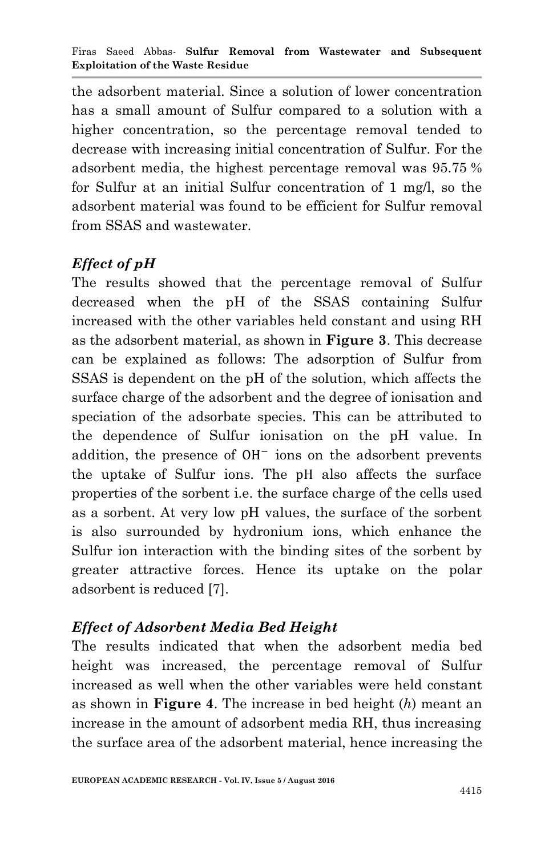the adsorbent material. Since a solution of lower concentration has a small amount of Sulfur compared to a solution with a higher concentration, so the percentage removal tended to decrease with increasing initial concentration of Sulfur. For the adsorbent media, the highest percentage removal was 95.75 % for Sulfur at an initial Sulfur concentration of 1 mg/l, so the adsorbent material was found to be efficient for Sulfur removal from SSAS and wastewater.

## *Effect of pH*

The results showed that the percentage removal of Sulfur decreased when the pH of the SSAS containing Sulfur increased with the other variables held constant and using RH as the adsorbent material, as shown in **Figure 3**. This decrease can be explained as follows: The adsorption of Sulfur from SSAS is dependent on the pH of the solution, which affects the surface charge of the adsorbent and the degree of ionisation and speciation of the adsorbate species. This can be attributed to the dependence of Sulfur ionisation on the pH value. In addition, the presence of  $OH^-$  ions on the adsorbent prevents the uptake of Sulfur ions. The pH also affects the surface properties of the sorbent i.e. the surface charge of the cells used as a sorbent. At very low pH values, the surface of the sorbent is also surrounded by hydronium ions, which enhance the Sulfur ion interaction with the binding sites of the sorbent by greater attractive forces. Hence its uptake on the polar adsorbent is reduced [7].

## *Effect of Adsorbent Media Bed Height*

The results indicated that when the adsorbent media bed height was increased, the percentage removal of Sulfur increased as well when the other variables were held constant as shown in **Figure 4**. The increase in bed height (*h*) meant an increase in the amount of adsorbent media RH, thus increasing the surface area of the adsorbent material, hence increasing the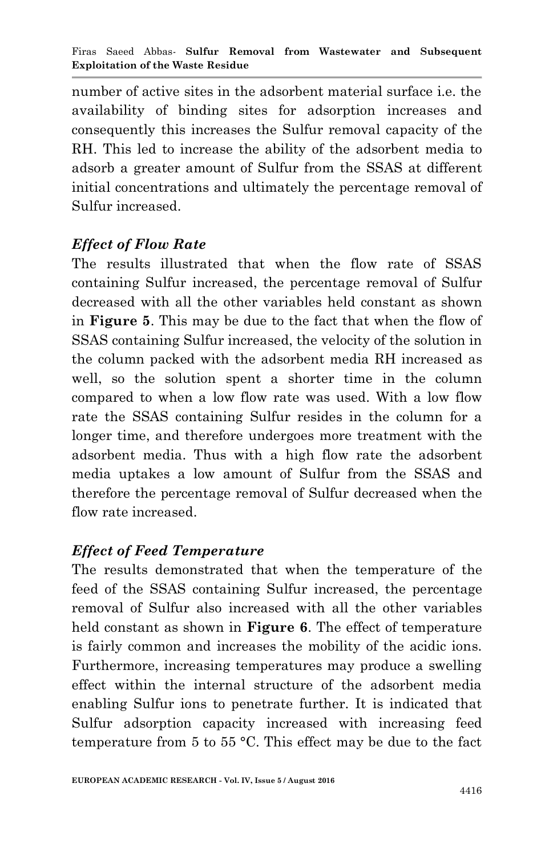number of active sites in the adsorbent material surface i.e. the availability of binding sites for adsorption increases and consequently this increases the Sulfur removal capacity of the RH. This led to increase the ability of the adsorbent media to adsorb a greater amount of Sulfur from the SSAS at different initial concentrations and ultimately the percentage removal of Sulfur increased.

## *Effect of Flow Rate*

The results illustrated that when the flow rate of SSAS containing Sulfur increased, the percentage removal of Sulfur decreased with all the other variables held constant as shown in **Figure 5**. This may be due to the fact that when the flow of SSAS containing Sulfur increased, the velocity of the solution in the column packed with the adsorbent media RH increased as well, so the solution spent a shorter time in the column compared to when a low flow rate was used. With a low flow rate the SSAS containing Sulfur resides in the column for a longer time, and therefore undergoes more treatment with the adsorbent media. Thus with a high flow rate the adsorbent media uptakes a low amount of Sulfur from the SSAS and therefore the percentage removal of Sulfur decreased when the flow rate increased.

## *Effect of Feed Temperature*

The results demonstrated that when the temperature of the feed of the SSAS containing Sulfur increased, the percentage removal of Sulfur also increased with all the other variables held constant as shown in **Figure 6**. The effect of temperature is fairly common and increases the mobility of the acidic ions. Furthermore, increasing temperatures may produce a swelling effect within the internal structure of the adsorbent media enabling Sulfur ions to penetrate further. It is indicated that Sulfur adsorption capacity increased with increasing feed temperature from 5 to 55 °C. This effect may be due to the fact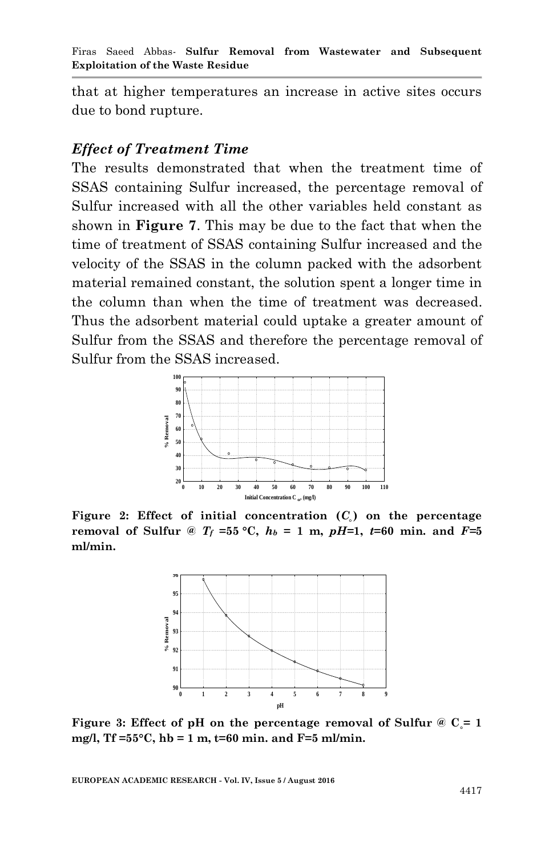that at higher temperatures an increase in active sites occurs due to bond rupture.

#### *Effect of Treatment Time*

The results demonstrated that when the treatment time of SSAS containing Sulfur increased, the percentage removal of Sulfur increased with all the other variables held constant as shown in **Figure 7**. This may be due to the fact that when the time of treatment of SSAS containing Sulfur increased and the velocity of the SSAS in the column packed with the adsorbent material remained constant, the solution spent a longer time in the column than when the time of treatment was decreased. Thus the adsorbent material could uptake a greater amount of Sulfur from the SSAS and therefore the percentage removal of Sulfur from the SSAS increased.



**Figure 2: Effect of initial concentration**  $(C<sub>s</sub>)$  **on the percentage removal of Sulfur**  $\omega$   $T_f$  =55 °C,  $h_b$  = 1 m,  $pH=1$ ,  $t=60$  min. and  $F=5$ **ml/min.**



**Figure 3: Effect of pH on the percentage removal of Sulfur**  $\& C = 1$ **mg/l, Tf =55°C, hb = 1 m, t=60 min. and F=5 ml/min.**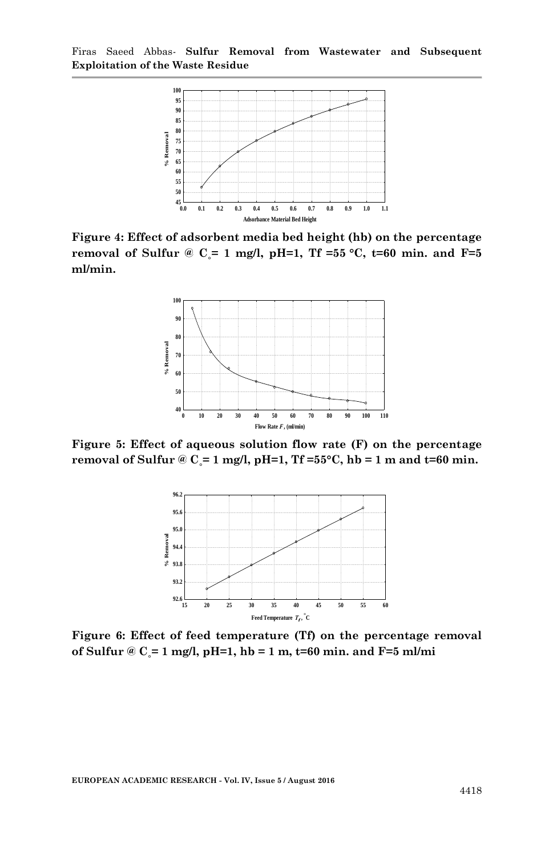

**Figure 4: Effect of adsorbent media bed height (hb) on the percentage removal of Sulfur**  $\&e \text{ }C = 1$  mg/l, pH=1, Tf =55  $\textdegree C$ , t=60 min. and F=5 **ml/min.**



**Figure 5: Effect of aqueous solution flow rate (F) on the percentage removal of Sulfur**  $\&e \text{ }C = 1$  mg/l, pH=1, Tf =55 $\degree$ C, hb = 1 m and t=60 min.



**Figure 6: Effect of feed temperature (Tf) on the percentage removal of Sulfur @ C˳= 1 mg/l, pH=1, hb = 1 m, t=60 min. and F=5 ml/mi**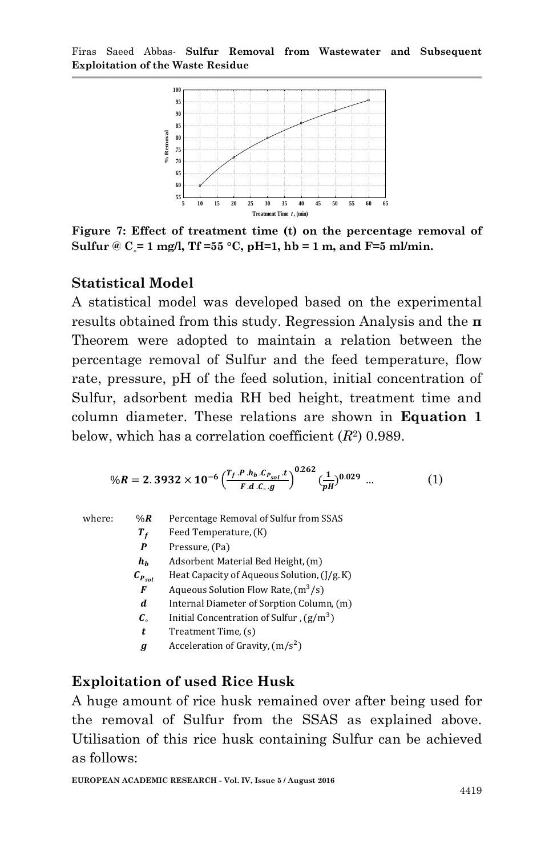

**Figure 7: Effect of treatment time (t) on the percentage removal of Sulfur**  $\& C = 1$  **mg/l, Tf** =55  $\degree$ C, pH=1, hb = 1 m, and F=5 ml/min.

#### **Statistical Model**

A statistical model was developed based on the experimental results obtained from this study. Regression Analysis and the **π**  Theorem were adopted to maintain a relation between the percentage removal of Sulfur and the feed temperature, flow rate, pressure, pH of the feed solution, initial concentration of Sulfur, adsorbent media RH bed height, treatment time and column diameter. These relations are shown in **Equation 1** below, which has a correlation coefficient (*R*<sup>2</sup> ) 0.989.

$$
\%R = 2.3932 \times 10^{-6} \left( \frac{T_f.P.h_b.C_{Psol}.t}{F.d.C_{\circ}.g} \right)^{0.262} \left( \frac{1}{pH} \right)^{0.029} \dots \tag{1}
$$

| where: | $%$ R                 | Percentage Removal of Sulfur from SSAS      |
|--------|-----------------------|---------------------------------------------|
|        | $T_f$                 | Feed Temperature, (K)                       |
|        | P                     | Pressure, (Pa)                              |
|        | $h_h$                 | Adsorbent Material Bed Height, (m)          |
|        | $c_{P_{sol}}$         | Heat Capacity of Aqueous Solution, (J/g. K) |
|        | F                     | Aqueous Solution Flow Rate, $(m^3/s)$       |
|        | d                     | Internal Diameter of Sorption Column, (m)   |
|        | $\mathcal{C}_{\circ}$ | Initial Concentration of Sulfur $(g/m^3)$   |
|        | t                     | Treatment Time, (s)                         |
|        | g                     | Acceleration of Gravity, $(m/s^2)$          |
|        |                       |                                             |

## **Exploitation of used Rice Husk**

A huge amount of rice husk remained over after being used for the removal of Sulfur from the SSAS as explained above. Utilisation of this rice husk containing Sulfur can be achieved as follows: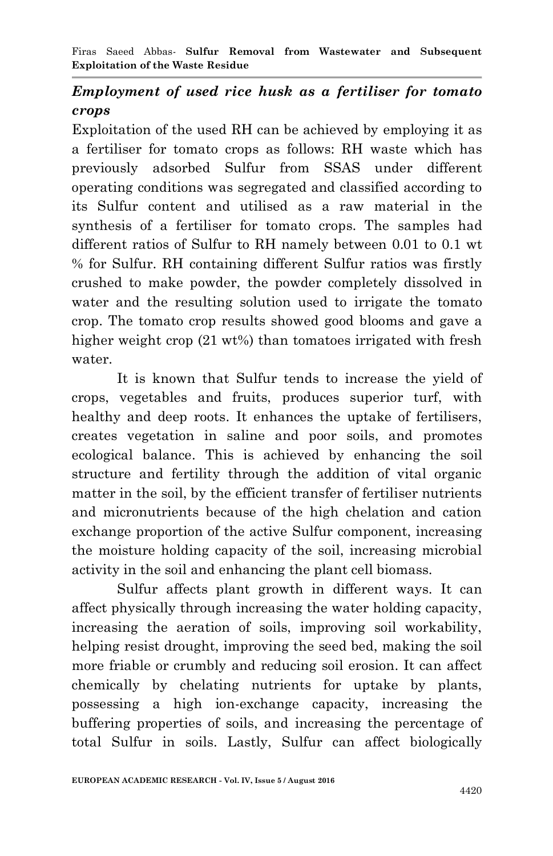## *Employment of used rice husk as a fertiliser for tomato crops*

Exploitation of the used RH can be achieved by employing it as a fertiliser for tomato crops as follows: RH waste which has previously adsorbed Sulfur from SSAS under different operating conditions was segregated and classified according to its Sulfur content and utilised as a raw material in the synthesis of a fertiliser for tomato crops. The samples had different ratios of Sulfur to RH namely between 0.01 to 0.1 wt % for Sulfur. RH containing different Sulfur ratios was firstly crushed to make powder, the powder completely dissolved in water and the resulting solution used to irrigate the tomato crop. The tomato crop results showed good blooms and gave a higher weight crop (21 wt%) than tomatoes irrigated with fresh water.

It is known that Sulfur tends to increase the yield of crops, vegetables and fruits, produces superior turf, with healthy and deep roots. It enhances the uptake of fertilisers, creates vegetation in saline and poor soils, and promotes ecological balance. This is achieved by enhancing the soil structure and fertility through the addition of vital organic matter in the soil, by the efficient transfer of fertiliser nutrients and micronutrients because of the high chelation and cation exchange proportion of the active Sulfur component, increasing the moisture holding capacity of the soil, increasing microbial activity in the soil and enhancing the plant cell biomass.

Sulfur affects plant growth in different ways. It can affect physically through increasing the water holding capacity, increasing the aeration of soils, improving soil workability, helping resist drought, improving the seed bed, making the soil more friable or crumbly and reducing soil erosion. It can affect chemically by chelating nutrients for uptake by plants, possessing a high ion-exchange capacity, increasing the buffering properties of soils, and increasing the percentage of total Sulfur in soils. Lastly, Sulfur can affect biologically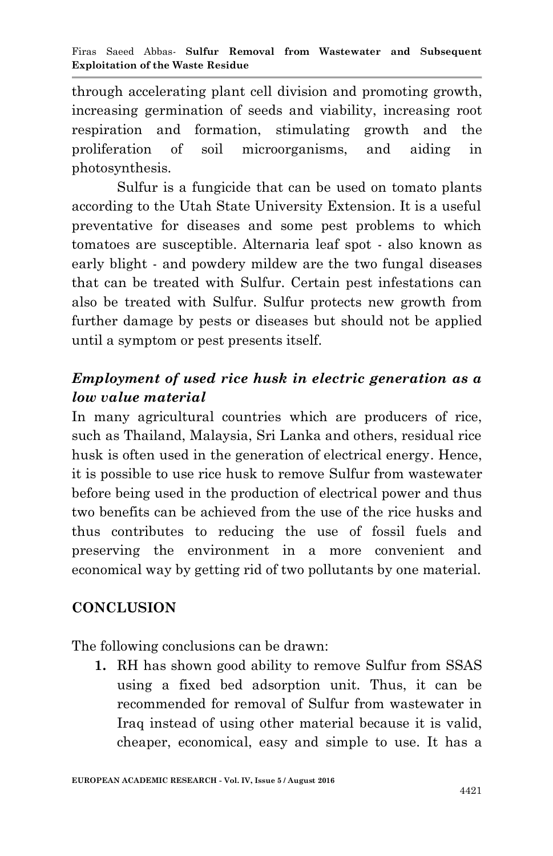through accelerating plant cell division and promoting growth, increasing germination of seeds and viability, increasing root respiration and formation, stimulating growth and the proliferation of soil microorganisms, and aiding in photosynthesis.

Sulfur is a fungicide that can be used on tomato plants according to the Utah State University Extension. It is a useful preventative for diseases and some pest problems to which tomatoes are susceptible. Alternaria leaf spot - also known as early blight - and powdery mildew are the two fungal diseases that can be treated with Sulfur. Certain pest infestations can also be treated with Sulfur. Sulfur protects new growth from further damage by pests or diseases but should not be applied until a symptom or pest presents itself.

## *Employment of used rice husk in electric generation as a low value material*

In many agricultural countries which are producers of rice, such as Thailand, Malaysia, Sri Lanka and others, residual rice husk is often used in the generation of electrical energy. Hence, it is possible to use rice husk to remove Sulfur from wastewater before being used in the production of electrical power and thus two benefits can be achieved from the use of the rice husks and thus contributes to reducing the use of fossil fuels and preserving the environment in a more convenient and economical way by getting rid of two pollutants by one material.

## **CONCLUSION**

The following conclusions can be drawn:

**1.** RH has shown good ability to remove Sulfur from SSAS using a fixed bed adsorption unit. Thus, it can be recommended for removal of Sulfur from wastewater in Iraq instead of using other material because it is valid, cheaper, economical, easy and simple to use. It has a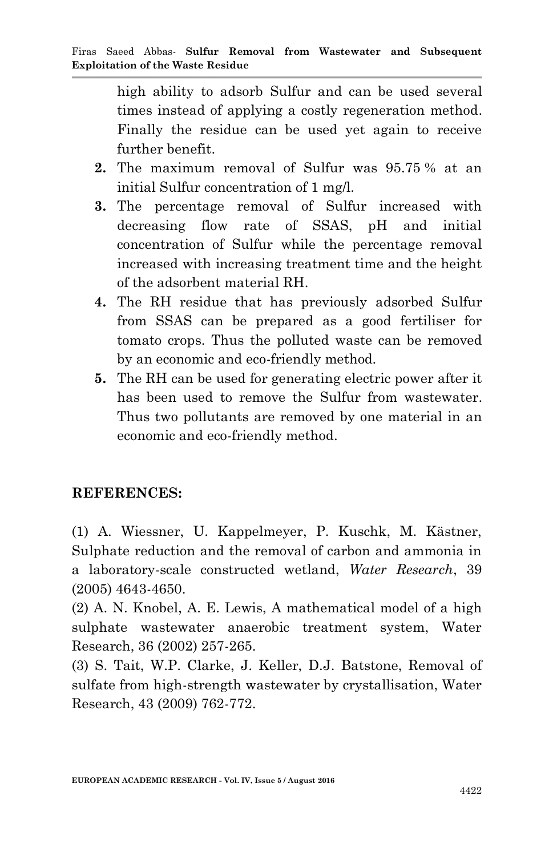high ability to adsorb Sulfur and can be used several times instead of applying a costly regeneration method. Finally the residue can be used yet again to receive further benefit.

- **2.** The maximum removal of Sulfur was 95.75 % at an initial Sulfur concentration of 1 mg/l.
- **3.** The percentage removal of Sulfur increased with decreasing flow rate of SSAS, pH and initial concentration of Sulfur while the percentage removal increased with increasing treatment time and the height of the adsorbent material RH.
- **4.** The RH residue that has previously adsorbed Sulfur from SSAS can be prepared as a good fertiliser for tomato crops. Thus the polluted waste can be removed by an economic and eco-friendly method.
- **5.** The RH can be used for generating electric power after it has been used to remove the Sulfur from wastewater. Thus two pollutants are removed by one material in an economic and eco-friendly method.

## **REFERENCES:**

(1) A. Wiessner, U. Kappelmeyer, P. Kuschk, M. Kästner, Sulphate reduction and the removal of carbon and ammonia in a laboratory-scale constructed wetland, *Water Research*, 39 (2005) 4643-4650.

(2) A. N. Knobel, A. E. Lewis, A mathematical model of a high sulphate wastewater anaerobic treatment system, Water Research, 36 (2002) 257-265.

(3) S. Tait, W.P. Clarke, J. Keller, D.J. Batstone, Removal of sulfate from high-strength wastewater by crystallisation, Water Research, 43 (2009) 762-772.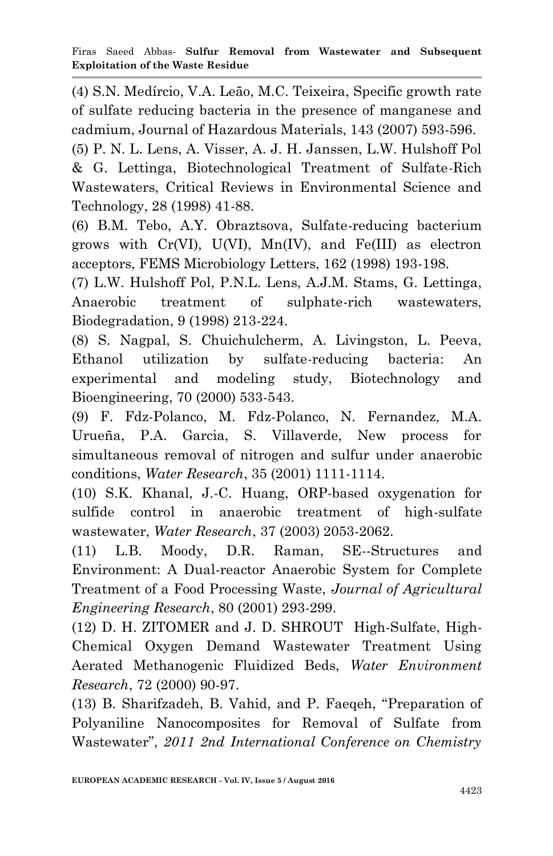(4) S.N. Medírcio, V.A. Leão, M.C. Teixeira, Specific growth rate of sulfate reducing bacteria in the presence of manganese and cadmium, Journal of Hazardous Materials, 143 (2007) 593-596.

(5) P. N. L. Lens, A. Visser, A. J. H. Janssen, L.W. Hulshoff Pol & G. Lettinga, Biotechnological Treatment of Sulfate-Rich Wastewaters, Critical Reviews in Environmental Science and Technology, 28 (1998) 41-88.

(6) B.M. Tebo, A.Y. Obraztsova, Sulfate-reducing bacterium grows with Cr(VI), U(VI), Mn(IV), and Fe(III) as electron acceptors, FEMS Microbiology Letters, 162 (1998) 193-198.

(7) L.W. Hulshoff Pol, P.N.L. Lens, A.J.M. Stams, G. Lettinga, Anaerobic treatment of sulphate-rich wastewaters, Biodegradation, 9 (1998) 213-224.

(8) S. Nagpal, S. Chuichulcherm, A. Livingston, L. Peeva, Ethanol utilization by sulfate-reducing bacteria: An experimental and modeling study, Biotechnology and Bioengineering, 70 (2000) 533-543.

(9) F. Fdz-Polanco, M. Fdz-Polanco, N. Fernandez, M.A. Urueña, P.A. Garcia, S. Villaverde, New process for simultaneous removal of nitrogen and sulfur under anaerobic conditions, *Water Research*, 35 (2001) 1111-1114.

(10) S.K. Khanal, J.-C. Huang, ORP-based oxygenation for sulfide control in anaerobic treatment of high-sulfate wastewater, *Water Research*, 37 (2003) 2053-2062.

(11) L.B. Moody, D.R. Raman, SE--Structures and Environment: A Dual-reactor Anaerobic System for Complete Treatment of a Food Processing Waste, *Journal of Agricultural Engineering Research*, 80 (2001) 293-299.

(12) D. H. ZITOMER and J. D. SHROUT High-Sulfate, High-Chemical Oxygen Demand Wastewater Treatment Using Aerated Methanogenic Fluidized Beds, *Water Environment Research*, 72 (2000) 90-97.

(13) B. Sharifzadeh, B. Vahid, and P. Faeqeh, "Preparation of Polyaniline Nanocomposites for Removal of Sulfate from Wastewater", *2011 2nd International Conference on Chemistry*